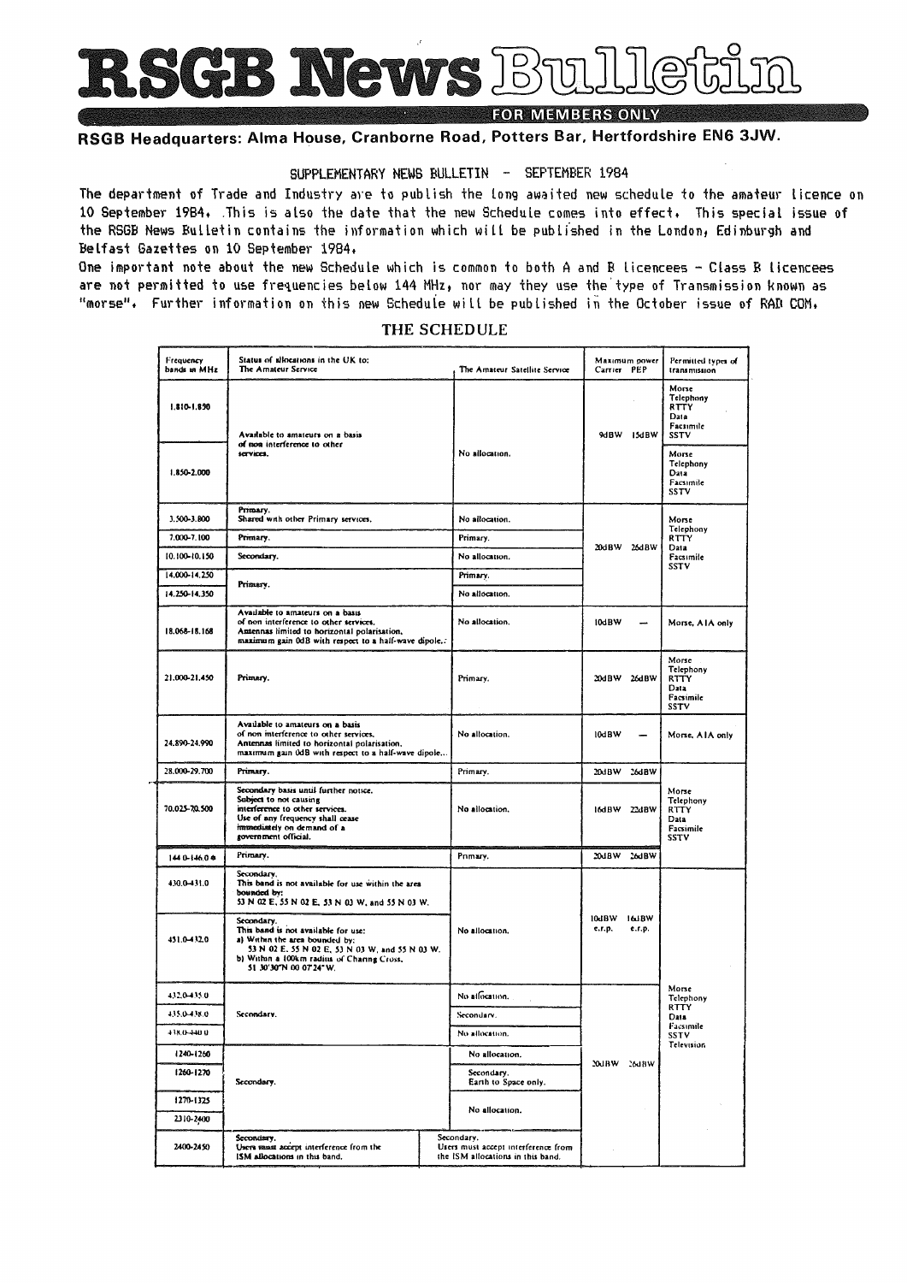RSGB News Bu

**FOR MEMBERS ONLY** 

# RSGB Headquarters: Alma House, Cranborne Road, Potters Bar, Hertfordshire EN6 3JW.

# SUPPLEMENTARY NEWS BULLETIN - SEPTEMBER 1984

The department of Trade and Industry are to publish the long awaited new schedule to the amateur licence on 10 September 1984. This is also the date that the new Schedule comes into effect. This special issue of the RSGB News Bulletin contains the information which will be published in the London, Edinburgh and Belfast Gazettes on 10 September 1984.

One important note about the new Schedule which is common to both A and B licencees - Class B licencees are not permitted to use frequencies below 144 MHz, nor may they use the type of Transmission known as "morse". Further information on this new Schedule will be published in the October issue of RAD COM.

| Frequency<br>bands in MHz | Status of allocations in the UK to:<br>The Amateur Service                                                                                                                                                      |  | The Amateur Satellite Service                                                          | Carrier PEP           | Maximum power            | Permitted types of<br>transmission                                    |  |
|---------------------------|-----------------------------------------------------------------------------------------------------------------------------------------------------------------------------------------------------------------|--|----------------------------------------------------------------------------------------|-----------------------|--------------------------|-----------------------------------------------------------------------|--|
| 1.810-1.890               | Available to amateurs on a basis<br>of non interference to other                                                                                                                                                |  |                                                                                        |                       | 9dBW 15dBW               | Morse<br>Telephony<br>RTTY<br>Data<br>Facsimile<br>SSTV               |  |
| 1.850-2.000               | services.                                                                                                                                                                                                       |  | No allocation.                                                                         |                       |                          | Morse<br>Telephony<br>Data<br>Facsimile<br><b>SSTV</b>                |  |
| 3.500-3.800               | Primary.<br>Shared with other Primary services.                                                                                                                                                                 |  | No allocation.                                                                         |                       |                          | Morse<br>Telephony<br>RTTY                                            |  |
| 7.000-7.100               | Primary.                                                                                                                                                                                                        |  | Primary.                                                                               |                       |                          |                                                                       |  |
| 10.100-10.150             | Secondary.                                                                                                                                                                                                      |  | No allocation.                                                                         | 20dBW 26dBW           |                          | Data<br>Facsimile<br>SSTV                                             |  |
| 14.000-14.250             | Primary.                                                                                                                                                                                                        |  | Primary.                                                                               |                       |                          |                                                                       |  |
| 14.250-14.350             |                                                                                                                                                                                                                 |  | No allocation.                                                                         |                       |                          |                                                                       |  |
| 18.068-18.168             | Available to amateurs on a basis<br>of non interference to other services.<br>Antennas limited to horizontal polarisation,<br>maximum gain 0dB with respect to a half-wave dipole                               |  | No allocation.                                                                         | 10dBW                 | $\overline{\phantom{a}}$ | Morse, AIA only                                                       |  |
| 21.000-21.450             | Primary.                                                                                                                                                                                                        |  | Primary.                                                                               |                       | 20dBW 26dBW              | Morse<br>Telephony<br><b>RTTY</b><br>Data<br>Facsimile<br><b>SSTV</b> |  |
| 24.890-24.990             | Available to amateurs on a basis<br>of non interference to other services.<br>Antennas limited to horizontal polarisation,<br>maximum gain 0dB with respect to a half-wave dipole                               |  | No allocation.                                                                         | 10dBW                 |                          | Morse, AIA only                                                       |  |
| 28.000-29.700             | Primary.                                                                                                                                                                                                        |  | Primary.                                                                               | 20dBW                 | 26dBW                    |                                                                       |  |
| 70.025-70.500             | Secondary basis until further notice.<br>Subject to not causing<br>interference to other services.<br>Use of any frequency shall cease<br>immediately on demand of a<br>government official.                    |  | No allocation.                                                                         |                       | 16dBW 22dBW              | Morse<br>Telephony<br><b>RTTY</b><br>Data<br>Facsimile<br>SSTV        |  |
| 1440-146.0*               | Primary.                                                                                                                                                                                                        |  | Primary.                                                                               |                       | 20JBW 26JBW              |                                                                       |  |
| 430.0-431.0               | Secondary,<br>This band is not available for use within the area<br>bounded by:<br>53 N 02 E, 55 N 02 E, 53 N 03 W, and 55 N 03 W.                                                                              |  |                                                                                        |                       |                          |                                                                       |  |
| 431.0-432.0               | Secondary.<br>This band is not available for use:<br>a) Within the area bounded by:<br>53 N 02 E, 55 N 02 E, 53 N 03 W, and 55 N 03 W.<br>b) Within a 100km radius of Charing Cross,<br>51 30'30"N 00 07'24" W. |  | No allocation.                                                                         | 10dBW 16dBW<br>e.r.p. | e.r.p.                   |                                                                       |  |
| 432.0-435.0               |                                                                                                                                                                                                                 |  | No allocation.                                                                         |                       |                          | Morse<br>Telephony                                                    |  |
| 435.0-438.0               | Secondary.                                                                                                                                                                                                      |  | Secondary.                                                                             |                       |                          | <b>RTTY</b><br>Data                                                   |  |
| 438.0-440.0               |                                                                                                                                                                                                                 |  | No allocation.                                                                         |                       |                          | Facsimile<br>SSTV                                                     |  |
| 1240-1260                 |                                                                                                                                                                                                                 |  | No allocation.                                                                         |                       |                          | Television                                                            |  |
| 1260-1270                 | Secondary.                                                                                                                                                                                                      |  | Secondary.<br>Earth to Space only.                                                     | 20dBW 26dBW           |                          |                                                                       |  |
| 1270-1325                 |                                                                                                                                                                                                                 |  |                                                                                        |                       |                          |                                                                       |  |
| 2310-2400                 |                                                                                                                                                                                                                 |  | No allocation.                                                                         |                       |                          |                                                                       |  |
| 2400-2450                 | Secondary.<br>Users saast accept interference from the<br>ISM allocations in this band,                                                                                                                         |  | Secondary.<br>Users must accept interference from<br>the ISM allocations in this band. |                       |                          |                                                                       |  |

## THE SCHEDULE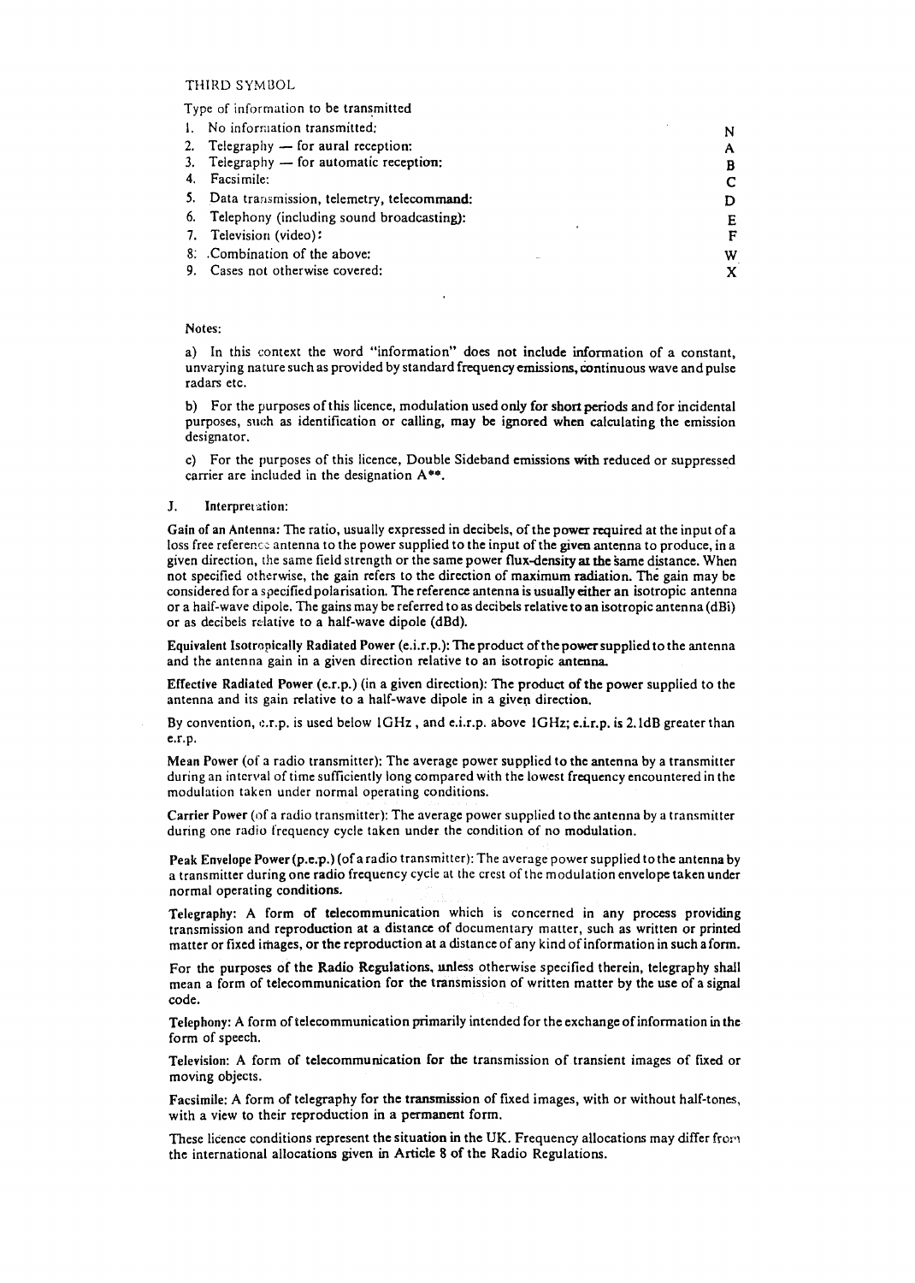## THIRD SYMBOL

#### Type of information to be transmitted

| No information transmitted:                   |   |
|-----------------------------------------------|---|
| 2. Telegraphy $-$ for aural reception:        | A |
| 3. Telegraphy - for automatic reception:      | B |
| Facsimile:                                    |   |
| 5. Data transmission, telemetry, telecommand: |   |
| 6. Telephony (including sound broadcasting):  | E |
| 7. Television (video):                        |   |
| 8. Combination of the above:                  | w |
| 9. Cases not otherwise covered:               |   |

### Notes:

a) In this context the word "information" does not include information of a constant, unvarying nature such as provided by standard frequency emissions, eontinuous wave and pulse radars etc.

 $\ddot{\phantom{0}}$ 

b) For the purposes of this licence, modulation used only for short periods and for incidental purposes, such as identification or calling, may be ignored when calculating the emission designator.

c) For the purposes of this licence, Double Sideband emissions with reduced or suppressed carrier are included in the designation A\*\*.

#### J. Interpretation:

Gain of an Antenna: The ratio, usually expressed in decibels, of the power required at the input of a loss free reference antenna to the power supplied to the input of the given antenna to produce, in a given direction, the same field strength or the same power flux-density at the same distance. When not specified otherwise, the gain refers to the direction of maximum radiation. The gain may be considered for as pecified polarisation. The reference antenna is usually either an isotropic antenna or a half-wave dipole. The gains may be referred to as decibels relative to an isotropic antenna (dBi) or as decibels relative to a half-wave dipole (dBd).

Equivalent Isotropically Radiated Power (e.i.r.p.): The product of the power supplied to the antenna and the antenna gain in a given direction relative to an isotropic antenna.

Effective Radiated Power (e.r.p.) (in a given direction): The product of the power supplied to the antenna and its gain relative to a half-wave dipole in a given direction.

By convention, e.r.p. is used below 1GHz, and e.i.r.p. above 1GHz; e.i.r.p. is 2.1dB greater than e.r.p.

Mean Power (of a radio transmitter): The average power supplied to the antenna by a transmitter during an interval of time sufficiently long compared with the lowest frequency encountered in the modulation taken under normal operating conditions.

Carrier Power (of a radio transmitter): The average power supplied to the antenna by a transmitter during one radio frequency cycle taken undar the condition of no modulation.

Peak Envelope Power(p.e.p.) (of a radio transmitter): The average power supplied to the antenna by a transmitter during one radio frequency cycle at the crest of the modulation envelope taken under normal operating conditions.

Telegraphy: A form of telecommunication which is concerned in any process providing transmission and reproduction at a distance of documentary matter, such as written or printed matter or fixed images, or the reproduction at a distance of any kind of information in such a form.

For the purposes of the Radio Regulations. nnless otherwise specified therein, telegraphy shall mean a form of telecommunication for the transmission of written matter by the use of a signal code.

Telephony: A form of telecommunication primarily intended for the exchange ofinforrnation in the form of speech.

Television: A form of telecommunication for the transmission of transient images of fixed or moving objects.

Facsimile: A form of telegraphy for the transmission of fixed images, with or without half-tones, with a view to their reproduction in a permanent form.

These licence conditions represent the situation in the UK. Frequency allocations may differ from the international allocations given in Article 8 of the Radio Regulations.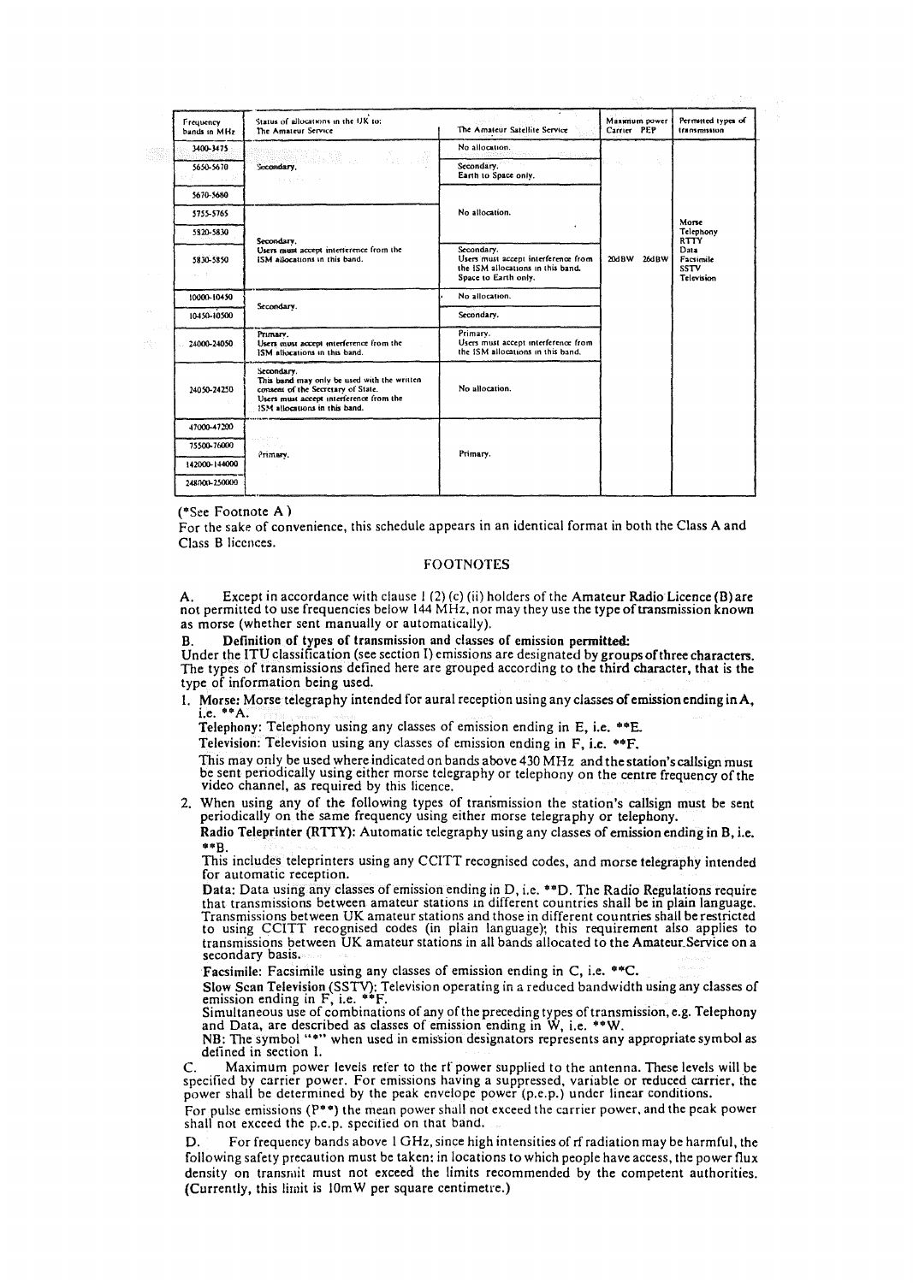|                                     |                                                                                                                                                                             |                                                                                                                |                              | A.                                                                           |
|-------------------------------------|-----------------------------------------------------------------------------------------------------------------------------------------------------------------------------|----------------------------------------------------------------------------------------------------------------|------------------------------|------------------------------------------------------------------------------|
| Frequency<br>bands in MHz           | Status of allocations in the UK to:<br>The Amateur Service                                                                                                                  | The Amateur Satellite Service                                                                                  | Maximum power<br>Carrier PEP | Permitted types of<br>transmission                                           |
| 3400-3475                           |                                                                                                                                                                             | No allocation.                                                                                                 | $\sim 10^{-5}$               |                                                                              |
| 5650-5670                           | and a state of the                                                                                                                                                          | Secondary.<br>Earth to Space only,                                                                             |                              |                                                                              |
| 5670-5680                           |                                                                                                                                                                             | No allocation.<br>٠                                                                                            |                              |                                                                              |
| 5755-5765                           | Secondary.<br>Users must accept interference from the<br>ISM allocations in this band.                                                                                      |                                                                                                                |                              |                                                                              |
| 5820-5830                           |                                                                                                                                                                             |                                                                                                                |                              | Morse<br>Telephony<br><b>RTTY</b><br>Data<br>Facsimile<br>SSTV<br>Television |
| 5830-5850<br>$\omega_{\rm{eff}}=10$ |                                                                                                                                                                             | Secondary.<br>Users must accent interference from<br>the ISM allocations in this band.<br>Space to Earth only. | 20dBW 26dBW                  |                                                                              |
| 10000-10450                         | Secondary.                                                                                                                                                                  | No allocation.                                                                                                 |                              |                                                                              |
| 10450-10500                         |                                                                                                                                                                             | Secondary.                                                                                                     |                              |                                                                              |
| 24000-24050                         | Primary.<br>Users must accept interference from the<br>ISM allocations in this band.                                                                                        | Primary.<br>Users must accept interference from<br>the ISM allocations in this band.                           |                              |                                                                              |
| 24050-24250                         | Secondary.<br>This band may only be used with the written<br>consent of the Secretary of State.<br>Users must accept interference from the<br>ISM allocations in this band. | No allocation.                                                                                                 |                              |                                                                              |
| 47000-47200                         |                                                                                                                                                                             |                                                                                                                |                              |                                                                              |
| 75500-76000                         | $\mathbb{E}_{\mathcal{F}}$ , i.e., $\mathbb{E}_{\mathcal{F}} \in \mathbb{R}^{N \times N}$<br>and the company                                                                |                                                                                                                |                              |                                                                              |
| 142000-144000                       | Primary.                                                                                                                                                                    | Primary.                                                                                                       |                              |                                                                              |
| 248000-250000                       |                                                                                                                                                                             |                                                                                                                |                              |                                                                              |

 $(*See Footnote A)$ 

For the sake of convenience, this schedule appears in an identical format in both the Class A and Class B licences.

### **FOOTNOTES**

A. Except in accordance with clause 1 (2) (c) (ii) holders of the Amateur Radio Licence (B) are not permitted to use frequencies below 144 MHz, nor may they use the type of transmission known as morse (whether sent manually or automatically).

Definition of types of transmission and classes of emission permitted:

Under the ITU classification (see section I) emissions are designated by groups of three characters. The types of transmissions defined here are grouped according to the third character, that is the type of information being used.

1. Morse: Morse telegraphy intended for aural reception using any classes of emission ending in A, i.e. \*\* A.

Telephony: Telephony using any classes of emission ending in E, i.e. \*\* E.

Television: Television using any classes of emission ending in F. i.e. \*\*F.

This may only be used where indicated on bands above 430 MHz and the station's callsign must be sent periodically using either morse telegraphy or telephony on the centre frequency of the video channel, as required by this licence.

2. When using any of the following types of transmission the station's callsign must be sent periodically on the same frequency using either morse telegraphy or telephony. Radio Teleprinter (RTTY): Automatic telegraphy using any classes of emission ending in B, i.e.

\*\*B.

This includes teleprinters using any CCITT recognised codes, and morse telegraphy intended for automatic reception.

Data: Data using any classes of emission ending in D, i.e. \*\*D. The Radio Regulations require that transmissions between amateur stations in different countries shall be in plain language. Transmissions between UK amateur stations and those in different countries shall be restricted<br>to using CCITT recognised codes (in plain language); this requirement also applies to transmissions between UK amateur stations in all bands allocated to the Amateur Service on a secondary basis.

Facsimile: Facsimile using any classes of emission ending in C, i.e. \*\* C.

Facture. I assume that we have the extended bandwidth using any classes of<br>emission ending in F, i.e. \*\*F.<br>Simultaneous use of combinations of any of the preceding types of transmission, e.g. Telephony<br>and Data, are descr

defined in section I.

Maximum power levels refer to the rf power supplied to the antenna. These levels will be  $\mathsf{C}$ . specified by carrier power. For emissions having a suppressed, variable or reduced carrier, the power shall be determined by the peak envelope power (p.e.p.) under linear conditions.

For pulse emissions (P\*\*) the mean power shall not exceed the carrier power, and the peak power shall not exceed the p.e.p. specified on that band.

For frequency bands above 1 GHz, since high intensities of rf radiation may be harmful, the D. following safety precaution must be taken: in locations to which people have access, the power flux density on transmit must not exceed the limits recommended by the competent authorities. (Currently, this limit is 10mW per square centimetre.)